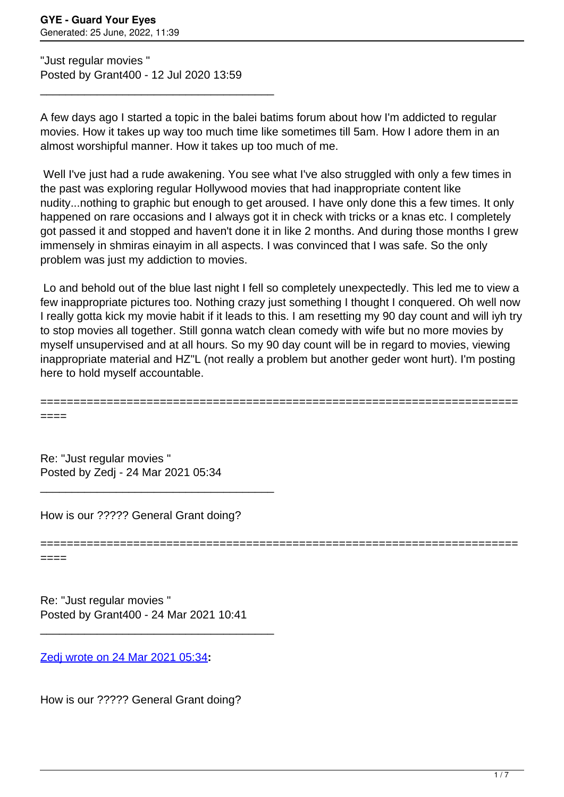"Just regular movies " Posted by Grant400 - 12 Jul 2020 13:59

\_\_\_\_\_\_\_\_\_\_\_\_\_\_\_\_\_\_\_\_\_\_\_\_\_\_\_\_\_\_\_\_\_\_\_\_\_

A few days ago I started a topic in the balei batims forum about how I'm addicted to regular movies. How it takes up way too much time like sometimes till 5am. How I adore them in an almost worshipful manner. How it takes up too much of me.

Well I've just had a rude awakening. You see what I've also struggled with only a few times in the past was exploring regular Hollywood movies that had inappropriate content like nudity...nothing to graphic but enough to get aroused. I have only done this a few times. It only happened on rare occasions and I always got it in check with tricks or a knas etc. I completely got passed it and stopped and haven't done it in like 2 months. And during those months I grew immensely in shmiras einayim in all aspects. I was convinced that I was safe. So the only problem was just my addiction to movies.

Lo and behold out of the blue last night I fell so completely unexpectedly. This led me to view a few inappropriate pictures too. Nothing crazy just something I thought I conquered. Oh well now I really gotta kick my movie habit if it leads to this. I am resetting my 90 day count and will iyh try to stop movies all together. Still gonna watch clean comedy with wife but no more movies by myself unsupervised and at all hours. So my 90 day count will be in regard to movies, viewing inappropriate material and HZ"L (not really a problem but another geder wont hurt). I'm posting here to hold myself accountable.

========================================================================

====

Re: "Just regular movies " Posted by Zedj - 24 Mar 2021 05:34

How is our ????? General Grant doing?

\_\_\_\_\_\_\_\_\_\_\_\_\_\_\_\_\_\_\_\_\_\_\_\_\_\_\_\_\_\_\_\_\_\_\_\_\_

======================================================================== ====

Re: "Just regular movies " Posted by Grant400 - 24 Mar 2021 10:41

\_\_\_\_\_\_\_\_\_\_\_\_\_\_\_\_\_\_\_\_\_\_\_\_\_\_\_\_\_\_\_\_\_\_\_\_\_

[Zedj wrote on 24 Mar 2021 05:34](/forum/19-Introduce-Yourself/366010-Re-Just-regular-movies-)**:**

How is our ????? General Grant doing?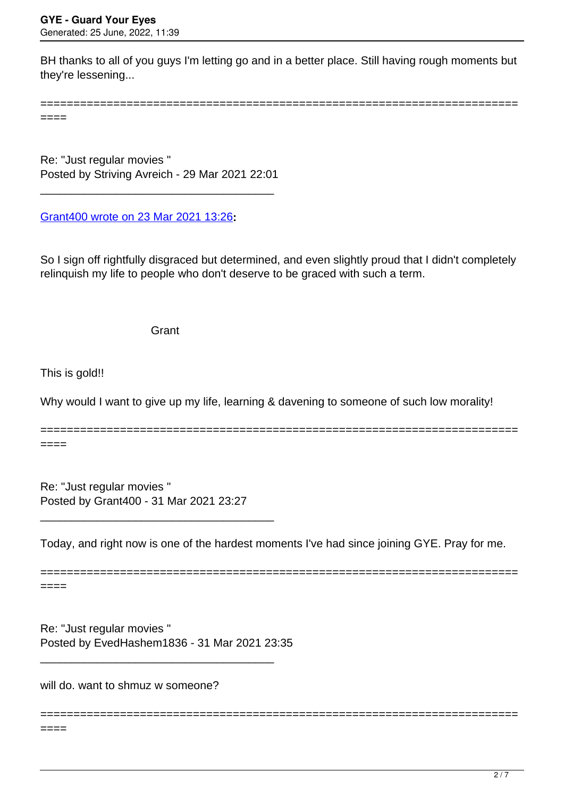BH thanks to all of you guys I'm letting go and in a better place. Still having rough moments but they're lessening...

========================================================================

====

Re: "Just regular movies " Posted by Striving Avreich - 29 Mar 2021 22:01

\_\_\_\_\_\_\_\_\_\_\_\_\_\_\_\_\_\_\_\_\_\_\_\_\_\_\_\_\_\_\_\_\_\_\_\_\_

[Grant400 wrote on 23 Mar 2021 13:26](/forum/19-Introduce-Yourself/365944-Re-Just-regular-movies-)**:**

So I sign off rightfully disgraced but determined, and even slightly proud that I didn't completely relinquish my life to people who don't deserve to be graced with such a term.

Grant

This is gold!!

Why would I want to give up my life, learning & davening to someone of such low morality!

======================================================================== ====

Re: "Just regular movies " Posted by Grant400 - 31 Mar 2021 23:27

\_\_\_\_\_\_\_\_\_\_\_\_\_\_\_\_\_\_\_\_\_\_\_\_\_\_\_\_\_\_\_\_\_\_\_\_\_

Today, and right now is one of the hardest moments I've had since joining GYE. Pray for me.

========================================================================

========================================================================

====

Re: "Just regular movies " Posted by EvedHashem1836 - 31 Mar 2021 23:35 \_\_\_\_\_\_\_\_\_\_\_\_\_\_\_\_\_\_\_\_\_\_\_\_\_\_\_\_\_\_\_\_\_\_\_\_\_

will do. want to shmuz w someone?

 $====$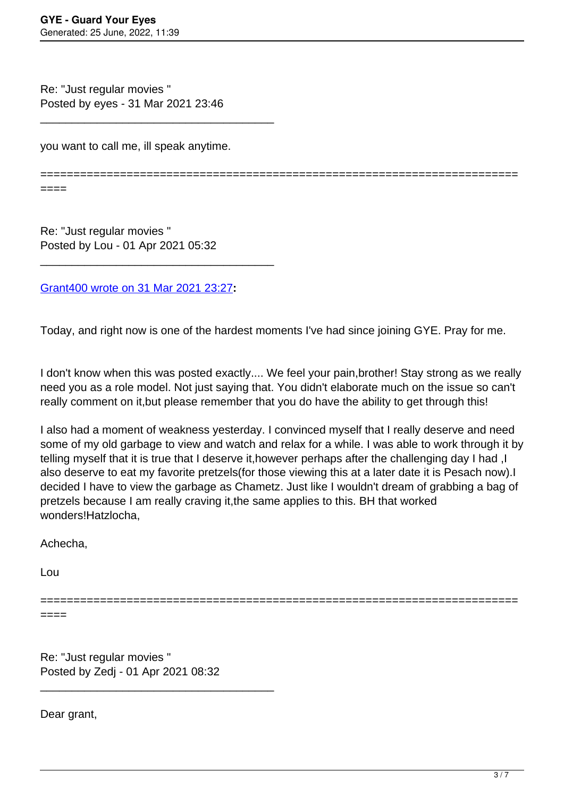Re: "Just regular movies " Posted by eyes - 31 Mar 2021 23:46

you want to call me, ill speak anytime.

\_\_\_\_\_\_\_\_\_\_\_\_\_\_\_\_\_\_\_\_\_\_\_\_\_\_\_\_\_\_\_\_\_\_\_\_\_

========================================================================

Re: "Just regular movies " Posted by Lou - 01 Apr 2021 05:32

[Grant400 wrote on 31 Mar 2021 23:27](/forum/19-Introduce-Yourself/366225-Re-Just-regular-movies-)**:**

\_\_\_\_\_\_\_\_\_\_\_\_\_\_\_\_\_\_\_\_\_\_\_\_\_\_\_\_\_\_\_\_\_\_\_\_\_

Today, and right now is one of the hardest moments I've had since joining GYE. Pray for me.

I don't know when this was posted exactly.... We feel your pain,brother! Stay strong as we really need you as a role model. Not just saying that. You didn't elaborate much on the issue so can't really comment on it,but please remember that you do have the ability to get through this!

I also had a moment of weakness yesterday. I convinced myself that I really deserve and need some of my old garbage to view and watch and relax for a while. I was able to work through it by telling myself that it is true that I deserve it,however perhaps after the challenging day I had ,I also deserve to eat my favorite pretzels(for those viewing this at a later date it is Pesach now).I decided I have to view the garbage as Chametz. Just like I wouldn't dream of grabbing a bag of pretzels because I am really craving it,the same applies to this. BH that worked wonders!Hatzlocha,

Achecha,

Lou

====

========================================================================

====

Re: "Just regular movies " Posted by Zedj - 01 Apr 2021 08:32

\_\_\_\_\_\_\_\_\_\_\_\_\_\_\_\_\_\_\_\_\_\_\_\_\_\_\_\_\_\_\_\_\_\_\_\_\_

Dear grant,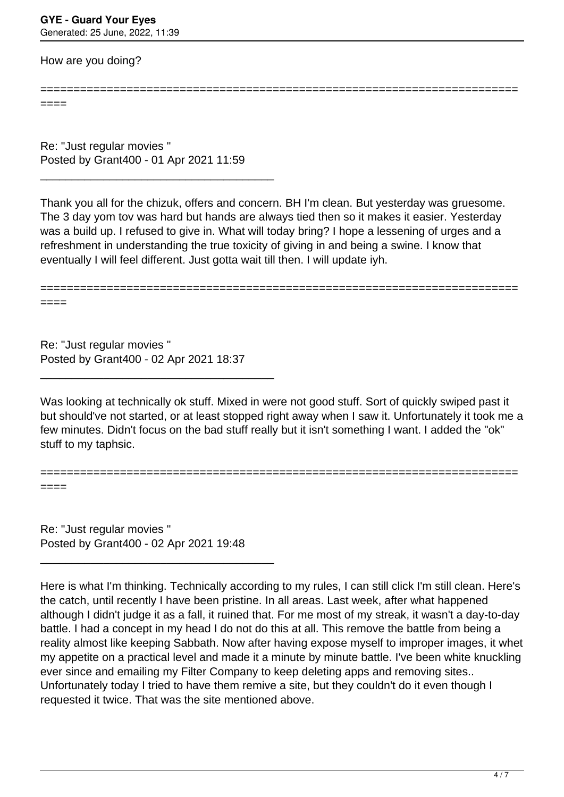How are you doing?

======================================================================== ====

Re: "Just regular movies " Posted by Grant400 - 01 Apr 2021 11:59

\_\_\_\_\_\_\_\_\_\_\_\_\_\_\_\_\_\_\_\_\_\_\_\_\_\_\_\_\_\_\_\_\_\_\_\_\_

Thank you all for the chizuk, offers and concern. BH I'm clean. But yesterday was gruesome. The 3 day yom tov was hard but hands are always tied then so it makes it easier. Yesterday was a build up. I refused to give in. What will today bring? I hope a lessening of urges and a refreshment in understanding the true toxicity of giving in and being a swine. I know that eventually I will feel different. Just gotta wait till then. I will update iyh.

========================================================================

====

====

Re: "Just regular movies " Posted by Grant400 - 02 Apr 2021 18:37

\_\_\_\_\_\_\_\_\_\_\_\_\_\_\_\_\_\_\_\_\_\_\_\_\_\_\_\_\_\_\_\_\_\_\_\_\_

Was looking at technically ok stuff. Mixed in were not good stuff. Sort of quickly swiped past it but should've not started, or at least stopped right away when I saw it. Unfortunately it took me a few minutes. Didn't focus on the bad stuff really but it isn't something I want. I added the "ok" stuff to my taphsic.

========================================================================

Re: "Just regular movies " Posted by Grant400 - 02 Apr 2021 19:48

\_\_\_\_\_\_\_\_\_\_\_\_\_\_\_\_\_\_\_\_\_\_\_\_\_\_\_\_\_\_\_\_\_\_\_\_\_

Here is what I'm thinking. Technically according to my rules, I can still click I'm still clean. Here's the catch, until recently I have been pristine. In all areas. Last week, after what happened although I didn't judge it as a fall, it ruined that. For me most of my streak, it wasn't a day-to-day battle. I had a concept in my head I do not do this at all. This remove the battle from being a reality almost like keeping Sabbath. Now after having expose myself to improper images, it whet my appetite on a practical level and made it a minute by minute battle. I've been white knuckling ever since and emailing my Filter Company to keep deleting apps and removing sites.. Unfortunately today I tried to have them remive a site, but they couldn't do it even though I requested it twice. That was the site mentioned above.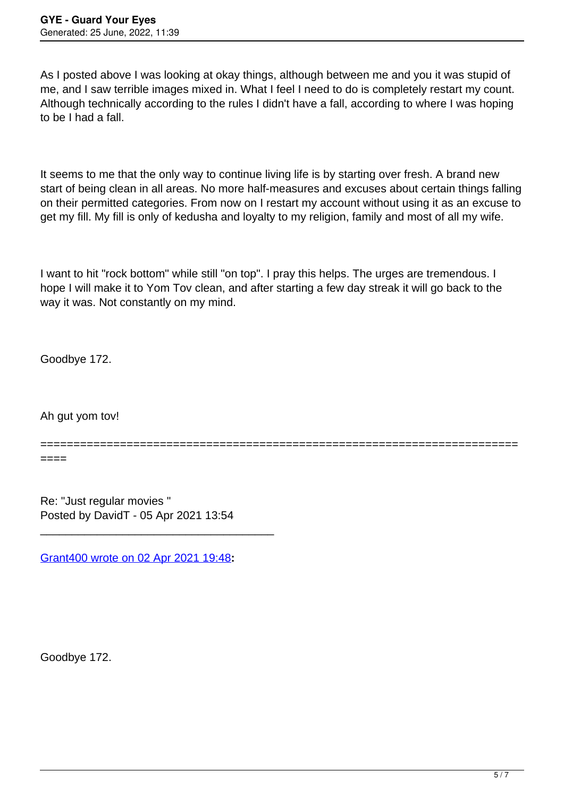As I posted above I was looking at okay things, although between me and you it was stupid of me, and I saw terrible images mixed in. What I feel I need to do is completely restart my count. Although technically according to the rules I didn't have a fall, according to where I was hoping to be I had a fall.

It seems to me that the only way to continue living life is by starting over fresh. A brand new start of being clean in all areas. No more half-measures and excuses about certain things falling on their permitted categories. From now on I restart my account without using it as an excuse to get my fill. My fill is only of kedusha and loyalty to my religion, family and most of all my wife.

I want to hit "rock bottom" while still "on top". I pray this helps. The urges are tremendous. I hope I will make it to Yom Tov clean, and after starting a few day streak it will go back to the way it was. Not constantly on my mind.

Goodbye 172.

Ah gut yom tov!

======================================================================== ====

Re: "Just regular movies " Posted by DavidT - 05 Apr 2021 13:54

[Grant400 wrote on 02 Apr 2021 19:48](/forum/19-Introduce-Yourself/366304-Re-Just-regular-movies-)**:**

\_\_\_\_\_\_\_\_\_\_\_\_\_\_\_\_\_\_\_\_\_\_\_\_\_\_\_\_\_\_\_\_\_\_\_\_\_

Goodbye 172.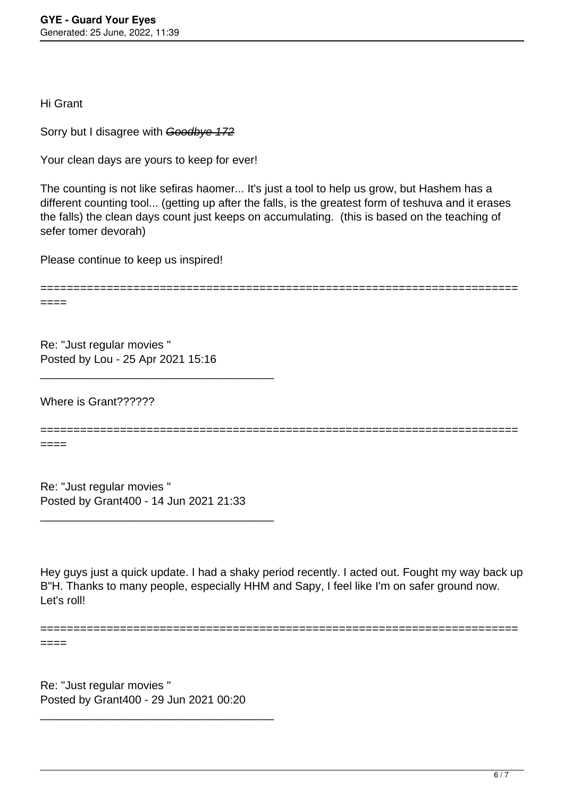Hi Grant

Sorry but I disagree with Goodbye 172

Your clean days are yours to keep for ever!

The counting is not like sefiras haomer... It's just a tool to help us grow, but Hashem has a different counting tool... (getting up after the falls, is the greatest form of teshuva and it erases the falls) the clean days count just keeps on accumulating. (this is based on the teaching of sefer tomer devorah)

Please continue to keep us inspired!

========================================================================

====

Re: "Just regular movies " Posted by Lou - 25 Apr 2021 15:16

\_\_\_\_\_\_\_\_\_\_\_\_\_\_\_\_\_\_\_\_\_\_\_\_\_\_\_\_\_\_\_\_\_\_\_\_\_

Where is Grant??????

======================================================================== ====

Re: "Just regular movies " Posted by Grant400 - 14 Jun 2021 21:33

\_\_\_\_\_\_\_\_\_\_\_\_\_\_\_\_\_\_\_\_\_\_\_\_\_\_\_\_\_\_\_\_\_\_\_\_\_

Hey guys just a quick update. I had a shaky period recently. I acted out. Fought my way back up B"H. Thanks to many people, especially HHM and Sapy, I feel like I'm on safer ground now. Let's roll!

========================================================================

====

Re: "Just regular movies " Posted by Grant400 - 29 Jun 2021 00:20

\_\_\_\_\_\_\_\_\_\_\_\_\_\_\_\_\_\_\_\_\_\_\_\_\_\_\_\_\_\_\_\_\_\_\_\_\_